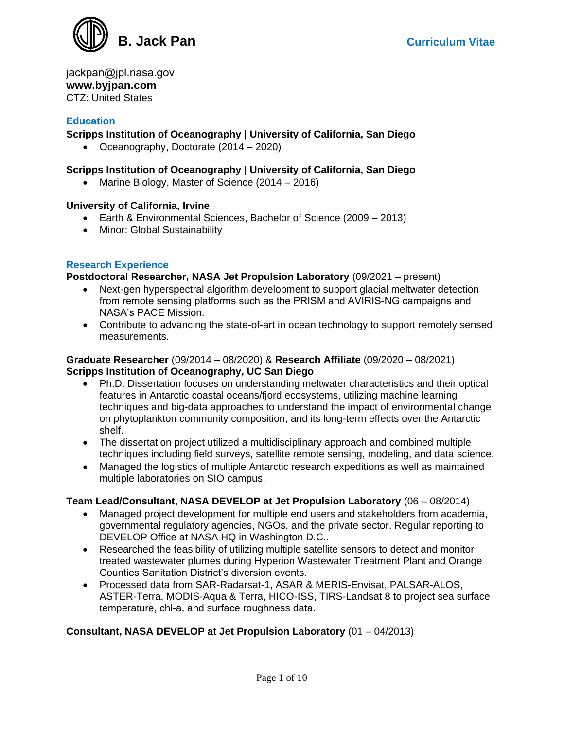

jackpan@jpl.nasa.gov **www.byjpan.com**  CTZ: United States

### **Education**

### **Scripps Institution of Oceanography | University of California, San Diego**

• Oceanography, Doctorate (2014 – 2020)

#### **Scripps Institution of Oceanography | University of California, San Diego**

• Marine Biology, Master of Science (2014 – 2016)

#### **University of California, Irvine**

- Earth & Environmental Sciences, Bachelor of Science (2009 2013)
- Minor: Global Sustainability

#### **Research Experience**

**Postdoctoral Researcher, NASA Jet Propulsion Laboratory** (09/2021 – present)

- Next-gen hyperspectral algorithm development to support glacial meltwater detection from remote sensing platforms such as the PRISM and AVIRIS-NG campaigns and NASA's PACE Mission.
- Contribute to advancing the state-of-art in ocean technology to support remotely sensed measurements.

#### **Graduate Researcher** (09/2014 – 08/2020) & **Research Affiliate** (09/2020 – 08/2021) **Scripps Institution of Oceanography, UC San Diego**

- Ph.D. Dissertation focuses on understanding meltwater characteristics and their optical features in Antarctic coastal oceans/fjord ecosystems, utilizing machine learning techniques and big-data approaches to understand the impact of environmental change on phytoplankton community composition, and its long-term effects over the Antarctic shelf.
- The dissertation project utilized a multidisciplinary approach and combined multiple techniques including field surveys, satellite remote sensing, modeling, and data science.
- Managed the logistics of multiple Antarctic research expeditions as well as maintained multiple laboratories on SIO campus.

#### **Team Lead/Consultant, NASA DEVELOP at Jet Propulsion Laboratory** (06 – 08/2014)

- Managed project development for multiple end users and stakeholders from academia, governmental regulatory agencies, NGOs, and the private sector. Regular reporting to DEVELOP Office at NASA HQ in Washington D.C..
- Researched the feasibility of utilizing multiple satellite sensors to detect and monitor treated wastewater plumes during Hyperion Wastewater Treatment Plant and Orange Counties Sanitation District's diversion events.
- Processed data from SAR-Radarsat-1, ASAR & MERIS-Envisat, PALSAR-ALOS, ASTER-Terra, MODIS-Aqua & Terra, HICO-ISS, TIRS-Landsat 8 to project sea surface temperature, chl-a, and surface roughness data.

### **Consultant, NASA DEVELOP at Jet Propulsion Laboratory** (01 – 04/2013)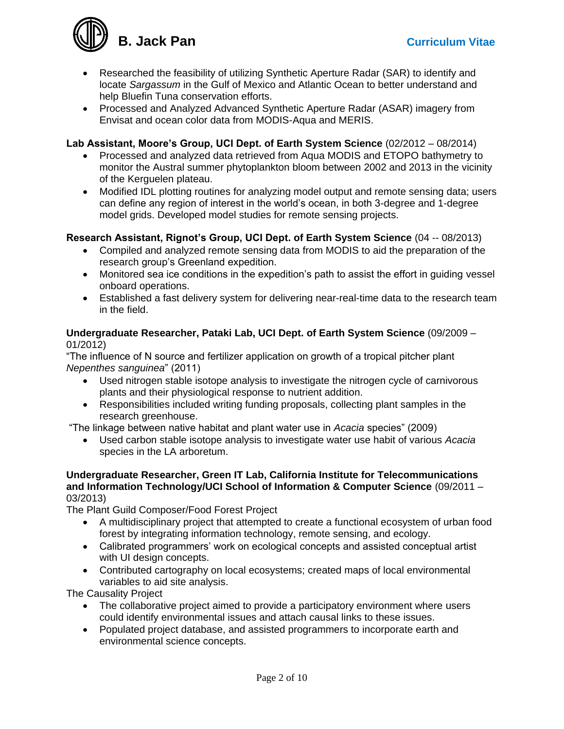

- Researched the feasibility of utilizing Synthetic Aperture Radar (SAR) to identify and locate *Sargassum* in the Gulf of Mexico and Atlantic Ocean to better understand and help Bluefin Tuna conservation efforts.
- Processed and Analyzed Advanced Synthetic Aperture Radar (ASAR) imagery from Envisat and ocean color data from MODIS-Aqua and MERIS.

## **Lab Assistant, Moore's Group, UCI Dept. of Earth System Science** (02/2012 – 08/2014)

- Processed and analyzed data retrieved from Aqua MODIS and ETOPO bathymetry to monitor the Austral summer phytoplankton bloom between 2002 and 2013 in the vicinity of the Kerguelen plateau.
- Modified IDL plotting routines for analyzing model output and remote sensing data; users can define any region of interest in the world's ocean, in both 3-degree and 1-degree model grids. Developed model studies for remote sensing projects.

## **Research Assistant, Rignot's Group, UCI Dept. of Earth System Science** (04 -- 08/2013)

- Compiled and analyzed remote sensing data from MODIS to aid the preparation of the research group's Greenland expedition.
- Monitored sea ice conditions in the expedition's path to assist the effort in guiding vessel onboard operations.
- Established a fast delivery system for delivering near-real-time data to the research team in the field.

### **Undergraduate Researcher, Pataki Lab, UCI Dept. of Earth System Science** (09/2009 – 01/2012)

"The influence of N source and fertilizer application on growth of a tropical pitcher plant *Nepenthes sanguinea*" (2011)

- Used nitrogen stable isotope analysis to investigate the nitrogen cycle of carnivorous plants and their physiological response to nutrient addition.
- Responsibilities included writing funding proposals, collecting plant samples in the research greenhouse.

"The linkage between native habitat and plant water use in *Acacia* species" (2009)

• Used carbon stable isotope analysis to investigate water use habit of various *Acacia* species in the LA arboretum.

#### **Undergraduate Researcher, Green IT Lab, California Institute for Telecommunications and Information Technology/UCI School of Information & Computer Science** (09/2011 – 03/2013)

The Plant Guild Composer/Food Forest Project

- A multidisciplinary project that attempted to create a functional ecosystem of urban food forest by integrating information technology, remote sensing, and ecology.
- Calibrated programmers' work on ecological concepts and assisted conceptual artist with UI design concepts.
- Contributed cartography on local ecosystems; created maps of local environmental variables to aid site analysis.

The Causality Project

- The collaborative project aimed to provide a participatory environment where users could identify environmental issues and attach causal links to these issues.
- Populated project database, and assisted programmers to incorporate earth and environmental science concepts.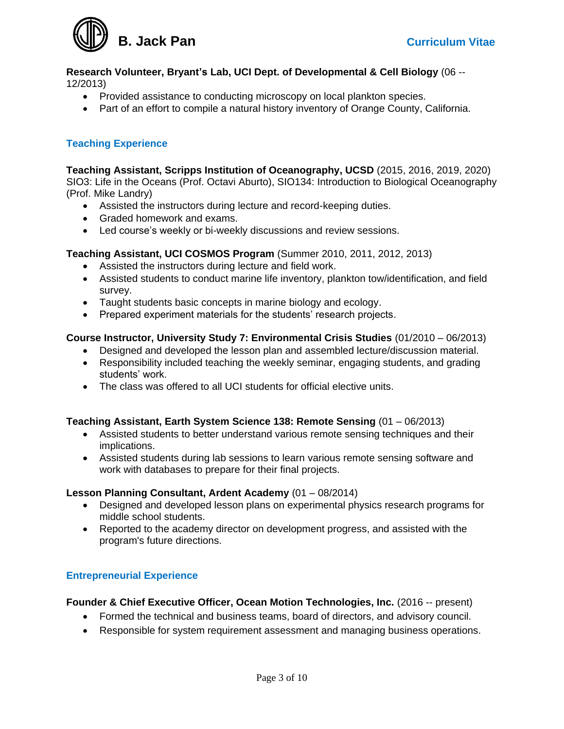

**Research Volunteer, Bryant's Lab, UCI Dept. of Developmental & Cell Biology** (06 -- 12/2013)

- Provided assistance to conducting microscopy on local plankton species.
- Part of an effort to compile a natural history inventory of Orange County, California.

### **Teaching Experience**

**Teaching Assistant, Scripps Institution of Oceanography, UCSD** (2015, 2016, 2019, 2020) SIO3: Life in the Oceans (Prof. Octavi Aburto), SIO134: Introduction to Biological Oceanography (Prof. Mike Landry)

- Assisted the instructors during lecture and record-keeping duties.
- Graded homework and exams.
- Led course's weekly or bi-weekly discussions and review sessions.

#### **Teaching Assistant, UCI COSMOS Program** (Summer 2010, 2011, 2012, 2013)

- Assisted the instructors during lecture and field work.
- Assisted students to conduct marine life inventory, plankton tow/identification, and field survey.
- Taught students basic concepts in marine biology and ecology.
- Prepared experiment materials for the students' research projects.

#### **Course Instructor, University Study 7: Environmental Crisis Studies** (01/2010 – 06/2013)

- Designed and developed the lesson plan and assembled lecture/discussion material.
- Responsibility included teaching the weekly seminar, engaging students, and grading students' work.
- The class was offered to all UCI students for official elective units.

#### **Teaching Assistant, Earth System Science 138: Remote Sensing** (01 – 06/2013)

- Assisted students to better understand various remote sensing techniques and their implications.
- Assisted students during lab sessions to learn various remote sensing software and work with databases to prepare for their final projects.

#### **Lesson Planning Consultant, Ardent Academy** (01 – 08/2014)

- Designed and developed lesson plans on experimental physics research programs for middle school students.
- Reported to the academy director on development progress, and assisted with the program's future directions.

### **Entrepreneurial Experience**

#### **Founder & Chief Executive Officer, Ocean Motion Technologies, Inc.** (2016 -- present)

- Formed the technical and business teams, board of directors, and advisory council.
- Responsible for system requirement assessment and managing business operations.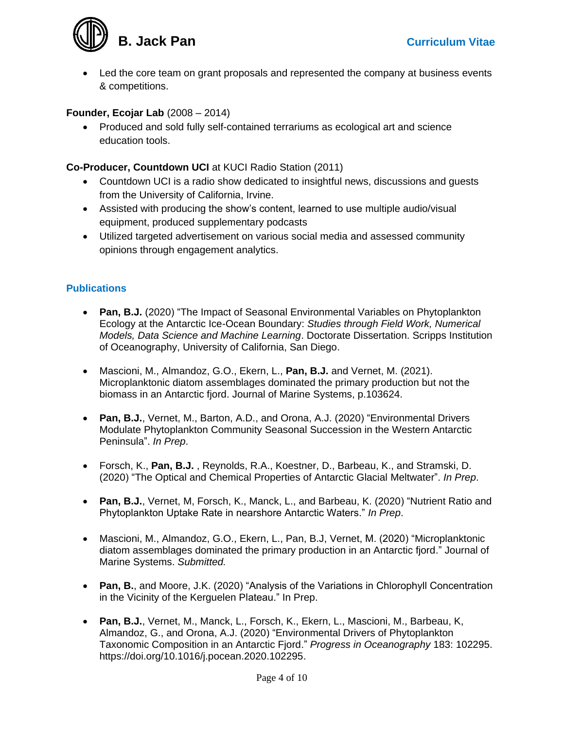

• Led the core team on grant proposals and represented the company at business events & competitions.

## **Founder, Ecojar Lab** (2008 – 2014)

• Produced and sold fully self-contained terrariums as ecological art and science education tools.

### **Co-Producer, Countdown UCI** at KUCI Radio Station (2011)

- Countdown UCI is a radio show dedicated to insightful news, discussions and guests from the University of California, Irvine.
- Assisted with producing the show's content, learned to use multiple audio/visual equipment, produced supplementary podcasts
- Utilized targeted advertisement on various social media and assessed community opinions through engagement analytics.

## **Publications**

- **Pan, B.J.** (2020) "The Impact of Seasonal Environmental Variables on Phytoplankton Ecology at the Antarctic Ice-Ocean Boundary: *Studies through Field Work, Numerical Models, Data Science and Machine Learning*. Doctorate Dissertation. Scripps Institution of Oceanography, University of California, San Diego.
- Mascioni, M., Almandoz, G.O., Ekern, L., **Pan, B.J.** and Vernet, M. (2021). Microplanktonic diatom assemblages dominated the primary production but not the biomass in an Antarctic fjord. Journal of Marine Systems, p.103624.
- **Pan, B.J.**, Vernet, M., Barton, A.D., and Orona, A.J. (2020) "Environmental Drivers Modulate Phytoplankton Community Seasonal Succession in the Western Antarctic Peninsula". *In Prep*.
- Forsch, K., **Pan, B.J.** , Reynolds, R.A., Koestner, D., Barbeau, K., and Stramski, D. (2020) "The Optical and Chemical Properties of Antarctic Glacial Meltwater". *In Prep*.
- **Pan, B.J.**, Vernet, M, Forsch, K., Manck, L., and Barbeau, K. (2020) "Nutrient Ratio and Phytoplankton Uptake Rate in nearshore Antarctic Waters." *In Prep*.
- Mascioni, M., Almandoz, G.O., Ekern, L., Pan, B.J, Vernet, M. (2020) "Microplanktonic diatom assemblages dominated the primary production in an Antarctic fjord." Journal of Marine Systems. *Submitted.*
- **Pan, B.**, and Moore, J.K. (2020) "Analysis of the Variations in Chlorophyll Concentration in the Vicinity of the Kerguelen Plateau." In Prep.
- **Pan, B.J.**, Vernet, M., Manck, L., Forsch, K., Ekern, L., Mascioni, M., Barbeau, K, Almandoz, G., and Orona, A.J. (2020) "Environmental Drivers of Phytoplankton Taxonomic Composition in an Antarctic Fjord." *Progress in Oceanography* 183: 102295. https://doi.org/10.1016/j.pocean.2020.102295.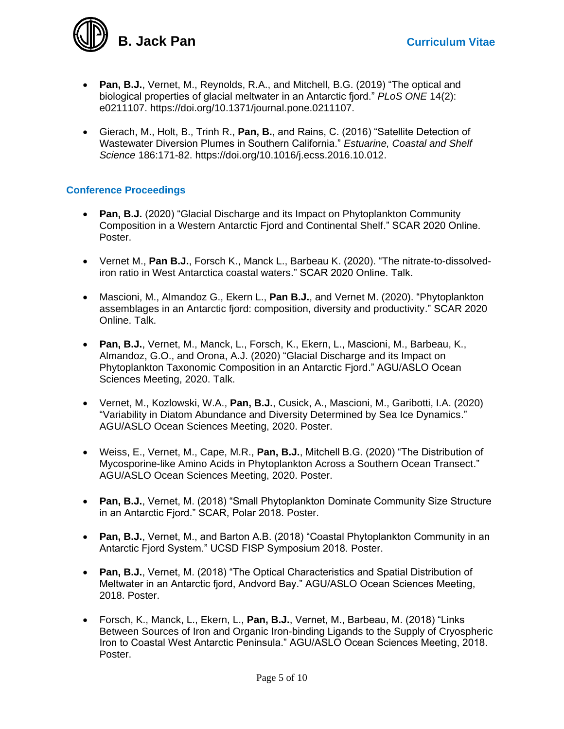

- **Pan, B.J.**, Vernet, M., Reynolds, R.A., and Mitchell, B.G. (2019) "The optical and biological properties of glacial meltwater in an Antarctic fjord." *PLoS ONE* 14(2): e0211107. https://doi.org/10.1371/journal.pone.0211107.
- Gierach, M., Holt, B., Trinh R., **Pan, B.**, and Rains, C. (2016) "Satellite Detection of Wastewater Diversion Plumes in Southern California." *Estuarine, Coastal and Shelf Science* 186:171-82. https://doi.org/10.1016/j.ecss.2016.10.012.

## **Conference Proceedings**

- **Pan, B.J.** (2020) "Glacial Discharge and its Impact on Phytoplankton Community Composition in a Western Antarctic Fjord and Continental Shelf." SCAR 2020 Online. Poster.
- Vernet M., **Pan B.J.**, Forsch K., Manck L., Barbeau K. (2020). "The nitrate-to-dissolvediron ratio in West Antarctica coastal waters." SCAR 2020 Online. Talk.
- Mascioni, M., Almandoz G., Ekern L., **Pan B.J.**, and Vernet M. (2020). "Phytoplankton assemblages in an Antarctic fjord: composition, diversity and productivity." SCAR 2020 Online. Talk.
- **Pan, B.J.**, Vernet, M., Manck, L., Forsch, K., Ekern, L., Mascioni, M., Barbeau, K., Almandoz, G.O., and Orona, A.J. (2020) "Glacial Discharge and its Impact on Phytoplankton Taxonomic Composition in an Antarctic Fjord." AGU/ASLO Ocean Sciences Meeting, 2020. Talk.
- Vernet, M., Kozlowski, W.A., **Pan, B.J.**, Cusick, A., Mascioni, M., Garibotti, I.A. (2020) "Variability in Diatom Abundance and Diversity Determined by Sea Ice Dynamics." AGU/ASLO Ocean Sciences Meeting, 2020. Poster.
- Weiss, E., Vernet, M., Cape, M.R., **Pan, B.J.**, Mitchell B.G. (2020) "The Distribution of Mycosporine-like Amino Acids in Phytoplankton Across a Southern Ocean Transect." AGU/ASLO Ocean Sciences Meeting, 2020. Poster.
- **Pan, B.J.**, Vernet, M. (2018) "Small Phytoplankton Dominate Community Size Structure in an Antarctic Fjord." SCAR, Polar 2018. Poster.
- **Pan, B.J.**, Vernet, M., and Barton A.B. (2018) "Coastal Phytoplankton Community in an Antarctic Fjord System." UCSD FISP Symposium 2018. Poster.
- **Pan, B.J.**, Vernet, M. (2018) "The Optical Characteristics and Spatial Distribution of Meltwater in an Antarctic fjord, Andvord Bay." AGU/ASLO Ocean Sciences Meeting, 2018. Poster.
- Forsch, K., Manck, L., Ekern, L., **Pan, B.J.**, Vernet, M., Barbeau, M. (2018) "Links Between Sources of Iron and Organic Iron-binding Ligands to the Supply of Cryospheric Iron to Coastal West Antarctic Peninsula." AGU/ASLO Ocean Sciences Meeting, 2018. Poster.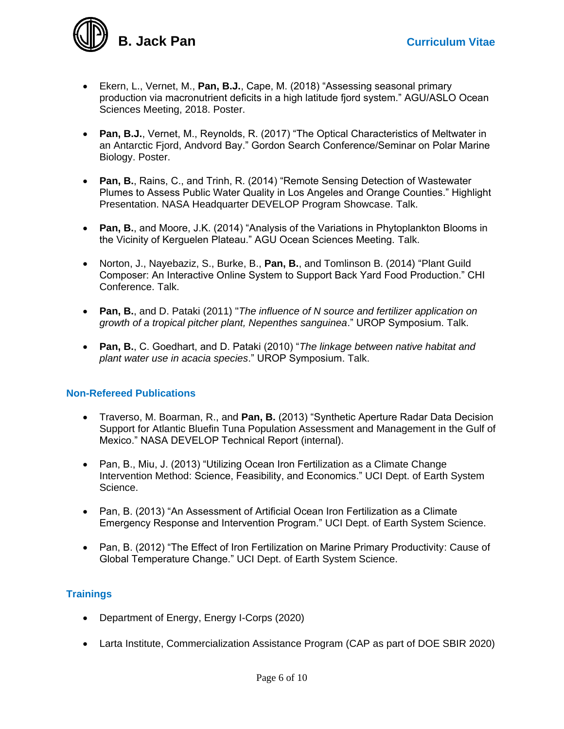**B. Jack Pan Curriculum Vitae** 

- Ekern, L., Vernet, M., **Pan, B.J.**, Cape, M. (2018) "Assessing seasonal primary production via macronutrient deficits in a high latitude fjord system." AGU/ASLO Ocean Sciences Meeting, 2018. Poster.
- **Pan, B.J.**, Vernet, M., Reynolds, R. (2017) "The Optical Characteristics of Meltwater in an Antarctic Fjord, Andvord Bay." Gordon Search Conference/Seminar on Polar Marine Biology. Poster.
- **Pan, B.**, Rains, C., and Trinh, R. (2014) "Remote Sensing Detection of Wastewater Plumes to Assess Public Water Quality in Los Angeles and Orange Counties." Highlight Presentation. NASA Headquarter DEVELOP Program Showcase. Talk.
- **Pan, B.**, and Moore, J.K. (2014) "Analysis of the Variations in Phytoplankton Blooms in the Vicinity of Kerguelen Plateau." AGU Ocean Sciences Meeting. Talk.
- Norton, J., Nayebaziz, S., Burke, B., **Pan, B.**, and Tomlinson B. (2014) "Plant Guild Composer: An Interactive Online System to Support Back Yard Food Production." CHI Conference. Talk.
- **Pan, B.**, and D. Pataki (2011) "*The influence of N source and fertilizer application on growth of a tropical pitcher plant, Nepenthes sanguinea*." UROP Symposium. Talk.
- **Pan, B.**, C. Goedhart, and D. Pataki (2010) "*The linkage between native habitat and plant water use in acacia species*." UROP Symposium. Talk.

### **Non-Refereed Publications**

- Traverso, M. Boarman, R., and **Pan, B.** (2013) "Synthetic Aperture Radar Data Decision Support for Atlantic Bluefin Tuna Population Assessment and Management in the Gulf of Mexico." NASA DEVELOP Technical Report (internal).
- Pan, B., Miu, J. (2013) "Utilizing Ocean Iron Fertilization as a Climate Change Intervention Method: Science, Feasibility, and Economics." UCI Dept. of Earth System Science.
- Pan, B. (2013) "An Assessment of Artificial Ocean Iron Fertilization as a Climate Emergency Response and Intervention Program." UCI Dept. of Earth System Science.
- Pan, B. (2012) "The Effect of Iron Fertilization on Marine Primary Productivity: Cause of Global Temperature Change." UCI Dept. of Earth System Science.

# **Trainings**

- Department of Energy, Energy I-Corps (2020)
- Larta Institute, Commercialization Assistance Program (CAP as part of DOE SBIR 2020)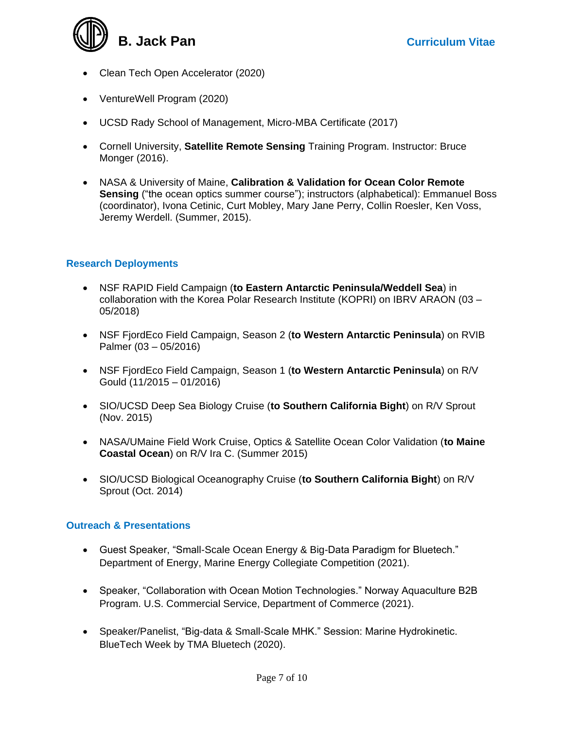**B. Jack Pan Curriculum Vitae** 

- Clean Tech Open Accelerator (2020)
- VentureWell Program (2020)
- UCSD Rady School of Management, Micro-MBA Certificate (2017)
- Cornell University, **Satellite Remote Sensing** Training Program. Instructor: Bruce Monger (2016).
- NASA & University of Maine, **Calibration & Validation for Ocean Color Remote Sensing** ("the ocean optics summer course"); instructors (alphabetical): Emmanuel Boss (coordinator), Ivona Cetinic, Curt Mobley, Mary Jane Perry, Collin Roesler, Ken Voss, Jeremy Werdell. (Summer, 2015).

# **Research Deployments**

- NSF RAPID Field Campaign (**to Eastern Antarctic Peninsula/Weddell Sea**) in collaboration with the Korea Polar Research Institute (KOPRI) on IBRV ARAON (03 – 05/2018)
- NSF FjordEco Field Campaign, Season 2 (**to Western Antarctic Peninsula**) on RVIB Palmer (03 – 05/2016)
- NSF FjordEco Field Campaign, Season 1 (**to Western Antarctic Peninsula**) on R/V Gould (11/2015 – 01/2016)
- SIO/UCSD Deep Sea Biology Cruise (**to Southern California Bight**) on R/V Sprout (Nov. 2015)
- NASA/UMaine Field Work Cruise, Optics & Satellite Ocean Color Validation (**to Maine Coastal Ocean**) on R/V Ira C. (Summer 2015)
- SIO/UCSD Biological Oceanography Cruise (**to Southern California Bight**) on R/V Sprout (Oct. 2014)

### **Outreach & Presentations**

- Guest Speaker, "Small-Scale Ocean Energy & Big-Data Paradigm for Bluetech." Department of Energy, Marine Energy Collegiate Competition (2021).
- Speaker, "Collaboration with Ocean Motion Technologies." Norway Aquaculture B2B Program. U.S. Commercial Service, Department of Commerce (2021).
- Speaker/Panelist, "Big-data & Small-Scale MHK." Session: Marine Hydrokinetic. BlueTech Week by TMA Bluetech (2020).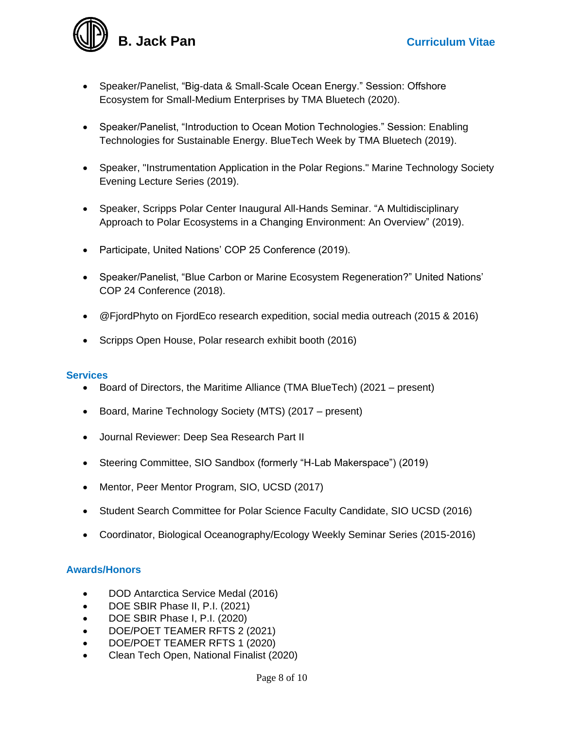**B. Jack Pan Curriculum Vitae** 

- Speaker/Panelist, "Big-data & Small-Scale Ocean Energy." Session: Offshore Ecosystem for Small-Medium Enterprises by TMA Bluetech (2020).
- Speaker/Panelist, "Introduction to Ocean Motion Technologies." Session: Enabling Technologies for Sustainable Energy. BlueTech Week by TMA Bluetech (2019).
- Speaker, "Instrumentation Application in the Polar Regions." Marine Technology Society Evening Lecture Series (2019).
- Speaker, Scripps Polar Center Inaugural All-Hands Seminar. "A Multidisciplinary Approach to Polar Ecosystems in a Changing Environment: An Overview" (2019).
- Participate, United Nations' COP 25 Conference (2019).
- Speaker/Panelist, "Blue Carbon or Marine Ecosystem Regeneration?" United Nations' COP 24 Conference (2018).
- @FjordPhyto on FjordEco research expedition, social media outreach (2015 & 2016)
- Scripps Open House, Polar research exhibit booth (2016)

### **Services**

- Board of Directors, the Maritime Alliance (TMA BlueTech) (2021 present)
- Board, Marine Technology Society (MTS) (2017 present)
- Journal Reviewer: Deep Sea Research Part II
- Steering Committee, SIO Sandbox (formerly "H-Lab Makerspace") (2019)
- Mentor, Peer Mentor Program, SIO, UCSD (2017)
- Student Search Committee for Polar Science Faculty Candidate, SIO UCSD (2016)
- Coordinator, Biological Oceanography/Ecology Weekly Seminar Series (2015-2016)

### **Awards/Honors**

- DOD Antarctica Service Medal (2016)
- DOE SBIR Phase II, P.I. (2021)
- DOE SBIR Phase I, P.I. (2020)
- DOE/POET TEAMER RFTS 2 (2021)
- DOE/POET TEAMER RFTS 1 (2020)
- Clean Tech Open, National Finalist (2020)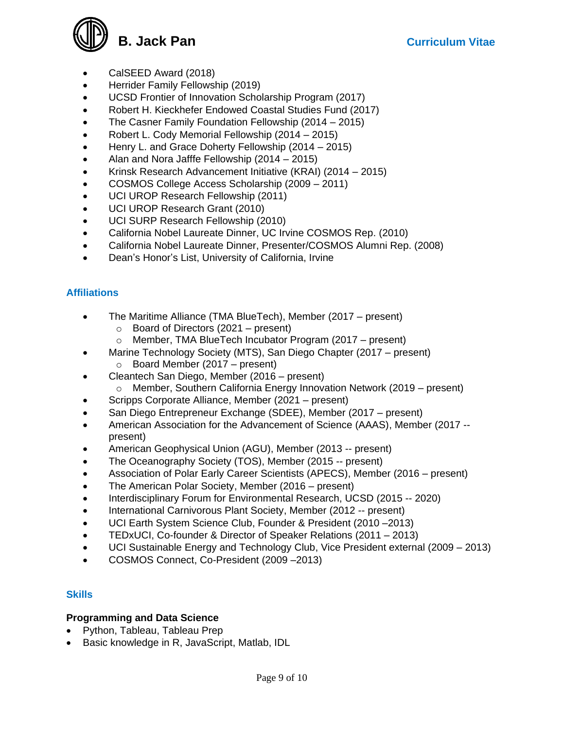

- CalSEED Award (2018)
- Herrider Family Fellowship (2019)
- UCSD Frontier of Innovation Scholarship Program (2017)
- Robert H. Kieckhefer Endowed Coastal Studies Fund (2017)
- The Casner Family Foundation Fellowship (2014 2015)
- Robert L. Cody Memorial Fellowship (2014 2015)
- Henry L. and Grace Doherty Fellowship (2014 2015)
- Alan and Nora Jafffe Fellowship (2014 2015)
- Krinsk Research Advancement Initiative (KRAI) (2014 2015)
- COSMOS College Access Scholarship (2009 2011)
- UCI UROP Research Fellowship (2011)
- UCI UROP Research Grant (2010)
- UCI SURP Research Fellowship (2010)
- California Nobel Laureate Dinner, UC Irvine COSMOS Rep. (2010)
- California Nobel Laureate Dinner, Presenter/COSMOS Alumni Rep. (2008)
- Dean's Honor's List, University of California, Irvine

## **Affiliations**

- The Maritime Alliance (TMA BlueTech), Member (2017 present)
	- $\circ$  Board of Directors (2021 present)
	- o Member, TMA BlueTech Incubator Program (2017 present)
- Marine Technology Society (MTS), San Diego Chapter (2017 present)
	- $\circ$  Board Member (2017 present)
- Cleantech San Diego, Member (2016 present)
	- $\circ$  Member, Southern California Energy Innovation Network (2019 present)
- Scripps Corporate Alliance, Member (2021 present)
- San Diego Entrepreneur Exchange (SDEE), Member (2017 present)
- American Association for the Advancement of Science (AAAS), Member (2017 present)
- American Geophysical Union (AGU), Member (2013 -- present)
- The Oceanography Society (TOS), Member (2015 -- present)
- Association of Polar Early Career Scientists (APECS), Member (2016 present)
- The American Polar Society, Member (2016 present)
- Interdisciplinary Forum for Environmental Research, UCSD (2015 -- 2020)
- International Carnivorous Plant Society, Member (2012 -- present)
- UCI Earth System Science Club, Founder & President (2010 –2013)
- TEDxUCI, Co-founder & Director of Speaker Relations (2011 2013)
- UCI Sustainable Energy and Technology Club, Vice President external (2009 2013)
- COSMOS Connect, Co-President (2009 –2013)

### **Skills**

### **Programming and Data Science**

- Python, Tableau, Tableau Prep
- Basic knowledge in R, JavaScript, Matlab, IDL